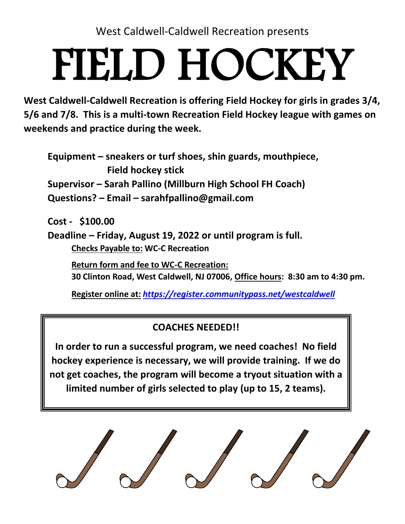West Caldwell-Caldwell Recreation presents

## FIELD HOCKEY

**West Caldwell-Caldwell Recreation is offering Field Hockey for girls in grades 3/4, 5/6 and 7/8. This is a multi-town Recreation Field Hockey league with games on weekends and practice during the week.**

**Equipment – sneakers or turf shoes, shin guards, mouthpiece, Field hockey stick Supervisor – Sarah Pallino (Millburn High School FH Coach) Questions? – Email – sarahfpallino@gmail.com**

**Cost - \$100.00**

**Deadline – Friday, August 19, 2022 or until program is full. Checks Payable to: WC-C Recreation** 

**Return form and fee to WC-C Recreation:** 

**30 Clinton Road, West Caldwell, NJ 07006, Office hours: 8:30 am to 4:30 pm.** 

**Register online at:** *<https://register.communitypass.net/westcaldwell>*

## **COACHES NEEDED!!**

**In order to run a successful program, we need coaches! No field hockey experience is necessary, we will provide training. If we do not get coaches, the program will become a tryout situation with a limited number of girls selected to play (up to 15, 2 teams).**